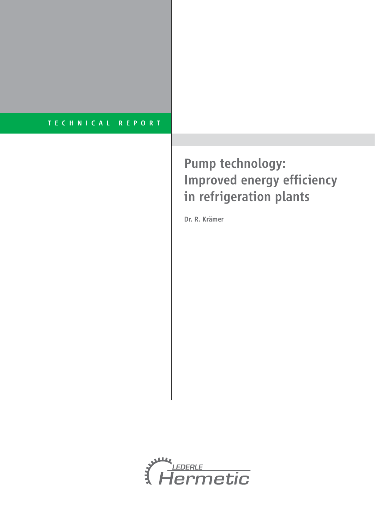# Pump technology: Improved energy efficiency in refrigeration plants

Dr. R. Krämer

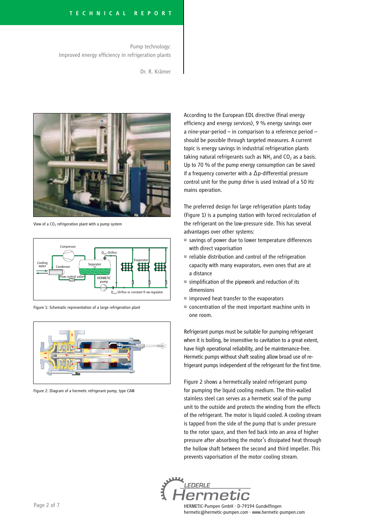Pump technology: Improved energy efficiency in refrigeration plants

Dr. R. Krämer



View of a  $CO<sub>2</sub>$  refrigeration plant with a pump system



Figure 1: Schematic representation of a large refrigeration plant



Figure 2: Diagram of a hermetic refrigerant pump, type CAM

According to the European EDL directive (final energy efficiency and energy services), 9 % energy savings over a nine-year-period – in comparison to a reference period – should be possible through targeted measures. A current topic is energy savings in industrial refrigeration plants taking natural refrigerants such as  $NH<sub>3</sub>$  and CO<sub>2</sub> as a basis. Up to 70 % of the pump energy consumption can be saved if a frequency converter with a ∆p-differential pressure control unit for the pump drive is used instead of a 50 Hz mains operation.

The preferred design for large refrigeration plants today (Figure 1) is a pumping station with forced recirculation of the refrigerant on the low-pressure side. This has several advantages over other systems:

- savings of power due to lower temperature differences with direct vaporisation
- $\blacksquare$  reliable distribution and control of the refrigeration capacity with many evaporators, even ones that are at a distance
- simplification of the pipework and reduction of its dimensions
- $\blacksquare$  improved heat transfer to the evaporators
- concentration of the most important machine units in one room.

Refrigerant pumps must be suitable for pumping refrigerant when it is boiling, be insensitive to cavitation to a great extent, have high operational reliability, and be maintenance-free. Hermetic pumps without shaft sealing allow broad use of refrigerant pumps independent of the refrigerant for the first time.

Figure 2 shows a hermetically sealed refrigerant pump for pumping the liquid cooling medium. The thin-walled stainless steel can serves as a hermetic seal of the pump unit to the outside and protects the winding from the effects of the refrigerant. The motor is liquid cooled. A cooling stream is tapped from the side of the pump that is under pressure to the rotor space, and then fed back into an area of higher pressure after absorbing the motor's dissipated heat through the hollow shaft between the second and third impeller. This prevents vaporisation of the motor cooling stream.

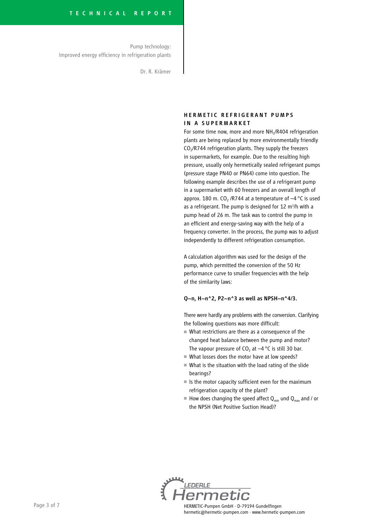Pump technology: Improved energy efficiency in refrigeration plants

Dr. R. Krämer

#### HERMETIC REFRIGERANT PUMPS IN A SUPERMARKET

For some time now, more and more NH<sub>3</sub>/R404 refrigeration plants are being replaced by more environmentally friendly  $CO<sub>2</sub>/R744$  refrigeration plants. They supply the freezers in supermarkets, for example. Due to the resulting high pressure, usually only hermetically sealed refrigerant pumps (pressure stage PN40 or PN64) come into question. The following example describes the use of a refrigerant pump in a supermarket with 60 freezers and an overall length of approx. 180 m. CO<sub>2</sub> /R744 at a temperature of  $-4$  °C is used as a refrigerant. The pump is designed for 12 m<sup>3</sup>/h with a pump head of 26 m. The task was to control the pump in an efficient and energy-saving way with the help of a frequency converter. In the process, the pump was to adjust independently to different refrigeration consumption.

A calculation algorithm was used for the design of the pump, which permitted the conversion of the 50 Hz performance curve to smaller frequencies with the help of the similarity laws:

#### $Q_{\sim}n$ , H $\sim$ n $^2$ 2, P2 $\sim$ n $^2$ 3 as well as NPSH $\sim$ n $^4$ 4/3.

There were hardly any problems with the conversion. Clarifying the following questions was more difficult:

- What restrictions are there as a consequence of the changed heat balance between the pump and motor? The vapour pressure of  $CO<sub>2</sub>$  at  $-4$  °C is still 30 bar.
- What losses does the motor have at low speeds?
- What is the situation with the load rating of the slide bearings?
- Is the motor capacity sufficient even for the maximum refrigeration capacity of the plant?
- $\blacksquare$  How does changing the speed affect  $Q_{min}$  und  $Q_{max}$  and / or the NPSH (Net Positive Suction Head)?

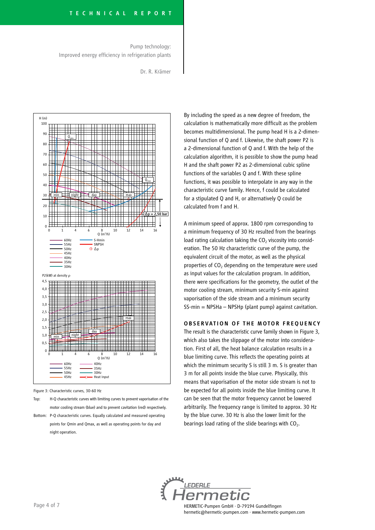Pump technology: Improved energy efficiency in refrigeration plants

Dr. R. Krämer



Figure 3: Characteristic curves, 30-60 Hz

- Top: H-Q characteristic curves with limiting curves to prevent vaporisation of the motor cooling stream (blue) and to prevent cavitation (red) respectively.
- Bottom: P-Q characteristic curves. Equally calculated and measured operating points for Qmin and Qmax, as well as operating points for day and night operation.

By including the speed as a new degree of freedom, the calculation is mathematically more difficult as the problem becomes multidimensional. The pump head H is a 2-dimensional function of Q and f. Likewise, the shaft power P2 is a 2-dimensional function of Q and f. With the help of the calculation algorithm, it is possible to show the pump head H and the shaft power P2 as 2-dimensional cubic spline functions of the variables Q and f. With these spline functions, it was possible to interpolate in any way in the characteristic curve family. Hence, f could be calculated for a stipulated Q and H, or alternatively Q could be calculated from f and H.

A minimum speed of approx. 1800 rpm corresponding to a minimum frequency of 30 Hz resulted from the bearings load rating calculation taking the  $CO<sub>2</sub>$  viscosity into consideration. The 50 Hz characteristic curve of the pump, the equivalent circuit of the motor, as well as the physical properties of CO<sub>2</sub> depending on the temperature were used as input values for the calculation program. In addition, there were specifications for the geometry, the outlet of the motor cooling stream, minimum security S-min against vaporisation of the side stream and a minimum security SS-min = NPSHa – NPSHp (plant pump) against cavitation.

#### OBSERVATION OF THE MOTOR FREQUENCY

The result is the characteristic curve family shown in Figure 3, which also takes the slippage of the motor into consideration. First of all, the heat balance calculation results in a blue limiting curve. This reflects the operating points at which the minimum security S is still 3 m. S is greater than 3 m for all points inside the blue curve. Physically, this means that vaporisation of the motor side stream is not to be expected for all points inside the blue limiting curve. It can be seen that the motor frequency cannot be lowered arbitrarily. The frequency range is limited to approx. 30 Hz by the blue curve. 30 Hz is also the lower limit for the bearings load rating of the slide bearings with  $CO<sub>2</sub>$ .

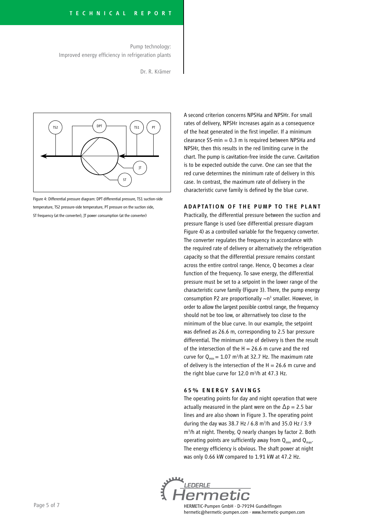Pump technology: Improved energy efficiency in refrigeration plants

Dr. R. Krämer



Figure 4: Differential pressure diagram: DPT differential pressure, TS1 suction-side temperature, TS2 pressure-side temperature, PT pressure on the suction side, ST frequency (at the converter), JT power consumption (at the converter)

A second criterion concerns NPSHa and NPSHr. For small rates of delivery, NPSHr increases again as a consequence of the heat generated in the first impeller. If a minimum clearance SS-min  $= 0.3$  m is required between NPSHa and NPSHr, then this results in the red limiting curve in the chart. The pump is cavitation-free inside the curve. Cavitation is to be expected outside the curve. One can see that the red curve determines the minimum rate of delivery in this case. In contrast, the maximum rate of delivery in the characteristic curve family is defined by the blue curve.

#### ADAPTATION OF THE PUMP TO THE PLANT

Practically, the differential pressure between the suction and pressure flange is used (see differential pressure diagram Figure 4) as a controlled variable for the frequency converter. The converter regulates the frequency in accordance with the required rate of delivery or alternatively the refrigeration capacity so that the differential pressure remains constant across the entire control range. Hence, Q becomes a clear function of the frequency. To save energy, the differential pressure must be set to a setpoint in the lower range of the characteristic curve family (Figure 3). There, the pump energy consumption P2 are proportionally  $\sim$ n<sup>3</sup> smaller. However, in order to allow the largest possible control range, the frequency should not be too low, or alternatively too close to the minimum of the blue curve. In our example, the setpoint was defined as 26.6 m, corresponding to 2.5 bar pressure differential. The minimum rate of delivery is then the result of the intersection of the  $H = 26.6$  m curve and the red curve for  $Q_{min} = 1.07$  m<sup>3</sup>/h at 32.7 Hz. The maximum rate of delivery is the intersection of the  $H = 26.6$  m curve and the right blue curve for 12.0 m<sup>3</sup>/h at 47.3 Hz.

#### 65% ENERGY SAVINGS

The operating points for day and night operation that were actually measured in the plant were on the  $\Delta p = 2.5$  bar lines and are also shown in Figure 3. The operating point during the day was 38.7 Hz / 6.8 m<sup>3</sup>/h and 35.0 Hz / 3.9 m3 /h at night. Thereby, Q nearly changes by factor 2. Both operating points are sufficiently away from  $Q_{min}$  and  $Q_{max}$ . The energy efficiency is obvious. The shaft power at night was only 0.66 kW compared to 1.91 kW at 47.2 Hz.

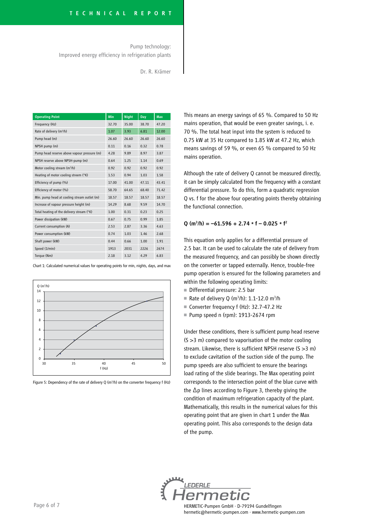Pump technology: Improved energy efficiency in refrigeration plants

Dr. R. Krämer

| <b>Operating Point</b>                      | Min   | <b>Night</b> | Day   | <b>Max</b> |
|---------------------------------------------|-------|--------------|-------|------------|
| Frequency (Hz)                              | 32.70 | 35.00        | 38.70 | 47.20      |
| Rate of delivery (m <sup>3</sup> /h)        | 1.07  | 3.93         | 6.81  | 12.00      |
| Pump head (m)                               | 26.60 | 26.60        | 26.60 | 26.60      |
| NPSH pump (m)                               | 0.11  | 0.16         | 0.32  | 0.78       |
| Pump head reserve above vapour pressure (m) | 4.28  | 9.89         | 8.97  | 3.87       |
| NPSH reserve above NPSH-pump (m)            | 0.64  | 1.25         | 1.14  | 0.69       |
| Motor cooling stream (m <sup>3</sup> /h)    | 0.92  | 0.92         | 0.92  | 0.92       |
| Heating of motor cooling streem (°K)        | 1.53  | 0.94         | 1.03  | 1.58       |
| Efficiency of pump (%)                      | 17.00 | 41.00        | 47.11 | 43.41      |
| Efficiency of motor (%)                     | 58.70 | 64.65        | 68.40 | 71.42      |
| Min. pump head at cooling stream outlet (m) | 18.57 | 18.57        | 18.57 | 18.57      |
| Increase of vapour pressure height (m)      | 14.29 | 8.68         | 9.59  | 14.70      |
| Total heating of the delivery stream (°K)   | 1.00  | 0.31         | 0.23  | 0.25       |
| Power dissipation (kW)                      | 0.67  | 0.75         | 0.99  | 1.85       |
| Current consumption (A)                     | 2.53  | 2.87         | 3.36  | 4.63       |
| Power consumption (kW)                      | 0.74  | 1.03         | 1.46  | 2.68       |
| Shaft power (kW)                            | 0.44  | 0.66         | 1.00  | 1.91       |
| Speed (1/min)                               | 1913  | 2031         | 2226  | 2674       |
| Torque (Nm)                                 | 2.18  | 3.12         | 4.29  | 6.83       |

Chart 1: Calculated numerical values for operating points for min, nights, days, and max



Figure 5: Dependency of the rate of delivery Q ( $m<sup>3</sup>/h$ ) on the converter frequency f (Hz)

This means an energy savings of 65 %. Compared to 50 Hz mains operation, that would be even greater savings, i. e. 70 %. The total heat input into the system is reduced to 0.75 kW at 35 Hz compared to 1.85 kW at 47.2 Hz, which means savings of 59 %, or even 65 % compared to 50 Hz mains operation.

Although the rate of delivery Q cannot be measured directly, it can be simply calculated from the frequency with a constant differential pressure. To do this, form a quadratic regression Q vs. f for the above four operating points thereby obtaining the functional connection.

#### $Q (m^3/h) = -61.596 + 2.74 * f - 0.025 * f^2$

This equation only applies for a differential pressure of 2.5 bar. It can be used to calculate the rate of delivery from the measured frequency, and can possibly be shown directly on the converter or tapped externally. Hence, trouble-free pump operation is ensured for the following parameters and within the following operating limits:

- Differential pressure: 2.5 bar
- Rate of delivery Q (m<sup>3</sup>/h): 1.1-12.0 m<sup>3</sup>/h
- Converter frequency f (Hz): 32.7-47.2 Hz
- Pump speed n (rpm): 1913-2674 rpm

Under these conditions, there is sufficient pump head reserve (S >3 m) compared to vaporisation of the motor cooling stream. Likewise, there is sufficient NPSH reserve (S >3 m) to exclude cavitation of the suction side of the pump. The pump speeds are also sufficient to ensure the bearings load rating of the slide bearings. The Max operating point corresponds to the intersection point of the blue curve with the ∆p lines according to Figure 3, thereby giving the condition of maximum refrigeration capacity of the plant. Mathematically, this results in the numerical values for this operating point that are given in chart 1 under the Max operating point. This also corresponds to the design data of the pump.